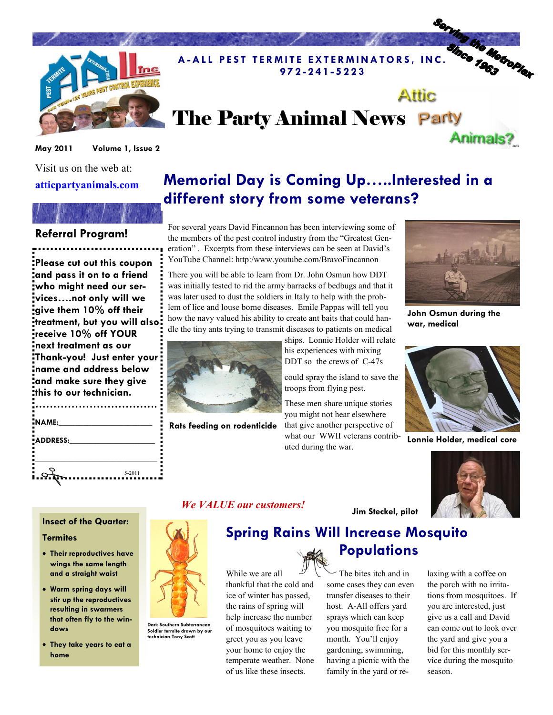

# **Attic** The Party Animal News Party Animals?

9 7 2 - 2 4 1 - 5 2 2 3

Volume 1, Issue 2 May 2011

Visit us on the web at:

atticpartyanimals.com

### Referral Program!

Please cut out this coupon and pass it on to a friend who might need our services….not only will we give them 10% off their treatment, but you will also receive 10% off YOUR next treatment as our Thank-you! Just enter your name and address below and make sure they give this to our technician.

| NAME:    |        |
|----------|--------|
| ADDRESS: |        |
|          |        |
|          |        |
|          | 5-2011 |

## Memorial Day is Coming Up…..Interested in a different story from some veterans?

A - ALL PEST TERMITE EXTERMINATORS, INC. SINCE TO MORE OF THE RAIL PEST TERMITE EXTERMINATORS, INC.

For several years David Fincannon has been interviewing some of the members of the pest control industry from the "Greatest Generation" . Excerpts from these interviews can be seen at David's YouTube Channel: http:/www.youtube.com/BravoFincannon

There you will be able to learn from Dr. John Osmun how DDT was initially tested to rid the army barracks of bedbugs and that it was later used to dust the soldiers in Italy to help with the problem of lice and louse borne diseases. Emile Pappas will tell you how the navy valued his ability to create ant baits that could handle the tiny ants trying to transmit diseases to patients on medical



Rats feeding on rodenticide

ships. Lonnie Holder will relate his experiences with mixing DDT so the crews of C-47s

could spray the island to save the troops from flying pest.

These men share unique stories you might not hear elsewhere that give another perspective of what our WWII veterans contributed during the war.



John Osmun during the war, medical



Lonnie Holder, medical core



#### Insect of the Quarter:

#### **Termites**

- Their reproductives have wings the same length and a straight waist
- Warm spring days will stir up the reproductives resulting in swarmers that often fly to the windows
- They take years to eat a home



Dark Southern Subterranean Soldier termite drawn by our technician Tony Scott

### We VALUE our customers!

## Spring Rains Will Increase Mosquito

While we are all thankful that the cold and ice of winter has passed, the rains of spring will help increase the number of mosquitoes waiting to greet you as you leave your home to enjoy the temperate weather. None of us like these insects.

The bites itch and in some cases they can even transfer diseases to their host. A-All offers yard sprays which can keep you mosquito free for a month. You'll enjoy gardening, swimming, having a picnic with the family in the yard or re-

Jim Steckel, pilot

**Populations** 

laxing with a coffee on the porch with no irritations from mosquitoes. If you are interested, just give us a call and David can come out to look over the yard and give you a bid for this monthly service during the mosquito season.